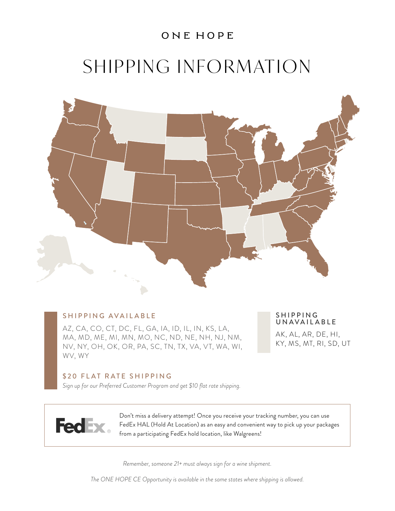### ONE HOPE

# SHIPPING INFORMATION



#### SHIPPING AVAILABLE

AZ, CA, CO, CT, DC, FL, GA, IA, ID, IL, IN, KS, LA, MA, MD, ME, MI, MN, MO, NC, ND, NE, NH, NJ, NM, NV, NY, OH, OK, OR, PA, SC, TN, TX, VA, VT, WA, WI, WV, WY

#### **SHIPPING** UNAVAILABLE

AK, AL, AR, DE, HI, KY, MS, MT, RI, SD, UT

#### \$20 FLAT RATE SHIPPING

*Sign up for our Preferred Customer Program and get \$10 flat rate shipping.* 



Don't miss a delivery attempt! Once you receive your tracking number, you can use FedEx HAL (Hold At Location) as an easy and convenient way to pick up your packages from a participating FedEx hold location, like Walgreens!

*Remember, someone 21+ must always sign for a wine shipment.*

*The ONE HOPE CE Opportunity is available in the same states where shipping is allowed.*